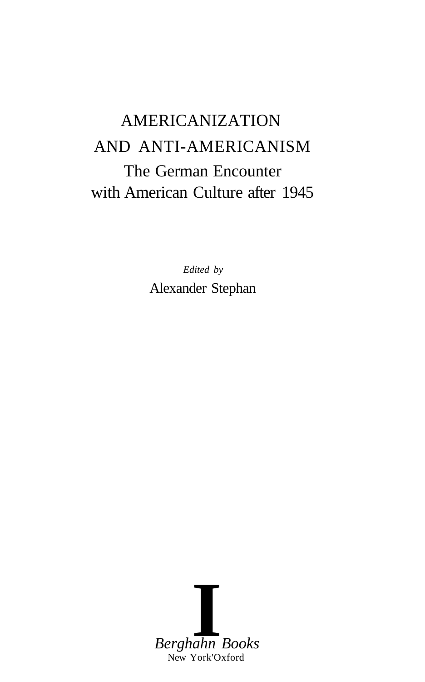# AMERICANIZATION AND ANTI-AMERICANISM The German Encounter with American Culture after 1945

*Edited by* Alexander Stephan

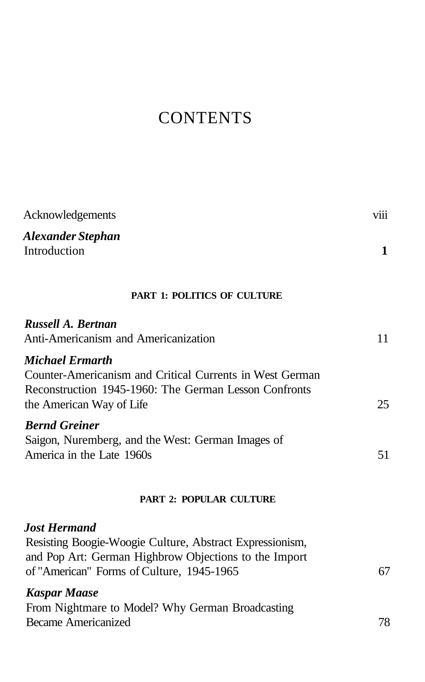## **CONTENTS**

| Acknowledgements                                                                                                                                                                      | viii |
|---------------------------------------------------------------------------------------------------------------------------------------------------------------------------------------|------|
| Alexander Stephan<br>Introduction                                                                                                                                                     | 1    |
| <b>PART 1: POLITICS OF CULTURE</b>                                                                                                                                                    |      |
| Russell A. Bertnan<br>Anti-Americanism and Americanization                                                                                                                            | 11   |
| <b>Michael Ermarth</b><br>Counter-Americanism and Critical Currents in West German<br>Reconstruction 1945-1960: The German Lesson Confronts<br>the American Way of Life               | 25   |
| <b>Bernd Greiner</b><br>Saigon, Nuremberg, and the West: German Images of<br>America in the Late 1960s                                                                                | 51   |
| <b>PART 2: POPULAR CULTURE</b>                                                                                                                                                        |      |
| <b>Jost Hermand</b><br>Resisting Boogie-Woogie Culture, Abstract Expressionism,<br>and Pop Art: German Highbrow Objections to the Import<br>of "American" Forms of Culture, 1945-1965 | 67   |
| <b>Kaspar Maase</b><br>From Nightmare to Model? Why German Broadcasting<br><b>Became Americanized</b>                                                                                 | 78   |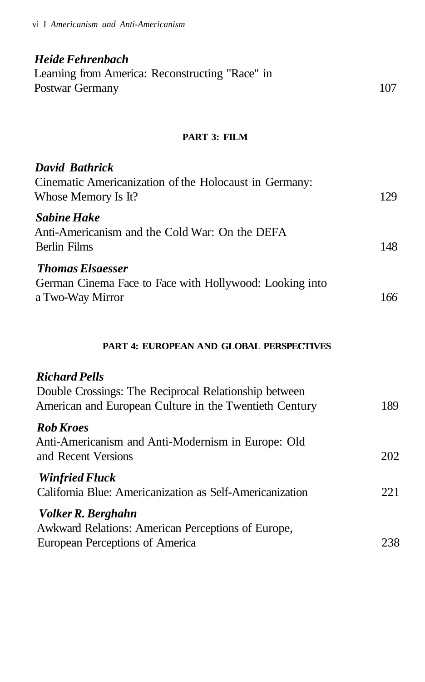### *Heide Fehrenbach* Learning from America: Reconstructing "Race" in Postwar Germany 107

#### **PART 3: FILM**

| David Bathrick<br>Cinematic Americanization of the Holocaust in Germany:<br>Whose Memory Is It?        | 129 |
|--------------------------------------------------------------------------------------------------------|-----|
| <b>Sabine Hake</b><br>Anti-Americanism and the Cold War: On the DEFA<br>Berlin Films                   | 148 |
| <b>Thomas Elsaesser</b><br>German Cinema Face to Face with Hollywood: Looking into<br>a Two-Way Mirror | 166 |

#### **PART 4: EUROPEAN AND GLOBAL PERSPECTIVES**

### *Richard Pells* Double Crossings: The Reciprocal Relationship between American and European Culture in the Twentieth Century 189 *Rob Kroes* Anti-Americanism and Anti-Modernism in Europe: Old and Recent Versions 202 *Winfried Fluck* California Blue: Americanization as Self-Americanization 221 *Volker R. Berghahn* Awkward Relations: American Perceptions of Europe, European Perceptions of America 238